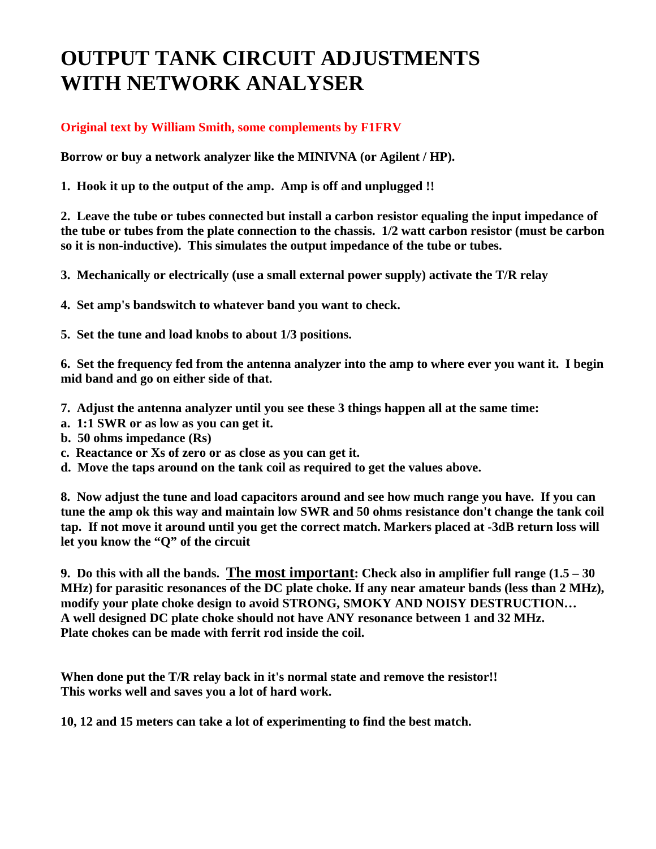# **OUTPUT TANK CIRCUIT ADJUSTMENTS WITH NETWORK ANALYSER**

#### **Original text by William Smith, some complements by F1FRV**

**Borrow or buy a network analyzer like the MINIVNA (or Agilent / HP).** 

**1. Hook it up to the output of the amp. Amp is off and unplugged !!** 

**2. Leave the tube or tubes connected but install a carbon resistor equaling the input impedance of the tube or tubes from the plate connection to the chassis. 1/2 watt carbon resistor (must be carbon so it is non-inductive). This simulates the output impedance of the tube or tubes.** 

**3. Mechanically or electrically (use a small external power supply) activate the T/R relay**

**4. Set amp's bandswitch to whatever band you want to check.** 

**5. Set the tune and load knobs to about 1/3 positions.** 

**6. Set the frequency fed from the antenna analyzer into the amp to where ever you want it. I begin mid band and go on either side of that.** 

- **7. Adjust the antenna analyzer until you see these 3 things happen all at the same time:**
- **a. 1:1 SWR or as low as you can get it.**
- **b. 50 ohms impedance (Rs)**
- **c. Reactance or Xs of zero or as close as you can get it.**
- **d. Move the taps around on the tank coil as required to get the values above.**

**8. Now adjust the tune and load capacitors around and see how much range you have. If you can tune the amp ok this way and maintain low SWR and 50 ohms resistance don't change the tank coil tap. If not move it around until you get the correct match. Markers placed at -3dB return loss will let you know the "Q" of the circuit** 

**9. Do this with all the bands. The most important: Check also in amplifier full range (1.5 – 30 MHz) for parasitic resonances of the DC plate choke. If any near amateur bands (less than 2 MHz), modify your plate choke design to avoid STRONG, SMOKY AND NOISY DESTRUCTION… A well designed DC plate choke should not have ANY resonance between 1 and 32 MHz. Plate chokes can be made with ferrit rod inside the coil.** 

**When done put the T/R relay back in it's normal state and remove the resistor!! This works well and saves you a lot of hard work.** 

**10, 12 and 15 meters can take a lot of experimenting to find the best match.**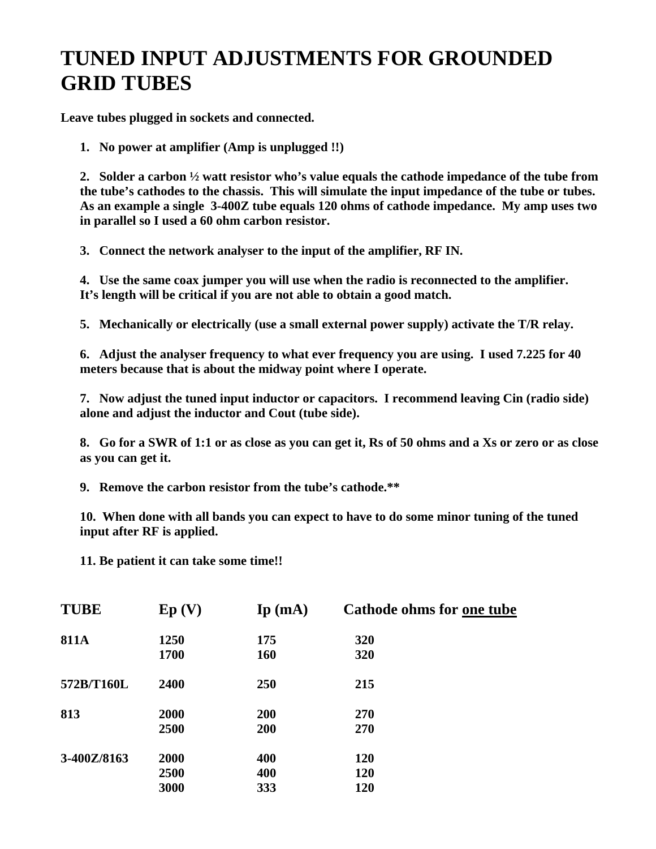# **TUNED INPUT ADJUSTMENTS FOR GROUNDED GRID TUBES**

**Leave tubes plugged in sockets and connected.** 

**1. No power at amplifier (Amp is unplugged !!)** 

**2. Solder a carbon ½ watt resistor who's value equals the cathode impedance of the tube from the tube's cathodes to the chassis. This will simulate the input impedance of the tube or tubes. As an example a single 3-400Z tube equals 120 ohms of cathode impedance. My amp uses two in parallel so I used a 60 ohm carbon resistor.** 

**3. Connect the network analyser to the input of the amplifier, RF IN.** 

**4. Use the same coax jumper you will use when the radio is reconnected to the amplifier. It's length will be critical if you are not able to obtain a good match.** 

**5. Mechanically or electrically (use a small external power supply) activate the T/R relay.** 

**6. Adjust the analyser frequency to what ever frequency you are using. I used 7.225 for 40 meters because that is about the midway point where I operate.** 

**7. Now adjust the tuned input inductor or capacitors. I recommend leaving Cin (radio side) alone and adjust the inductor and Cout (tube side).** 

**8. Go for a SWR of 1:1 or as close as you can get it, Rs of 50 ohms and a Xs or zero or as close as you can get it.** 

**9. Remove the carbon resistor from the tube's cathode.\*\*** 

**10. When done with all bands you can expect to have to do some minor tuning of the tuned input after RF is applied.** 

**11. Be patient it can take some time!!** 

| <b>TUBE</b>   | Ep(V) | $\mathbf{I}\mathbf{p}$ (mA) | Cathode ohms for one tube |
|---------------|-------|-----------------------------|---------------------------|
| <b>811A</b>   | 1250  | 175                         | 320                       |
|               | 1700  | <b>160</b>                  | 320                       |
| 572B/T160L    | 2400  | 250                         | 215                       |
| 813           | 2000  | <b>200</b>                  | 270                       |
|               | 2500  | <b>200</b>                  | <b>270</b>                |
| $3-400Z/8163$ | 2000  | 400                         | <b>120</b>                |
|               | 2500  | 400                         | <b>120</b>                |
|               | 3000  | 333                         | 120                       |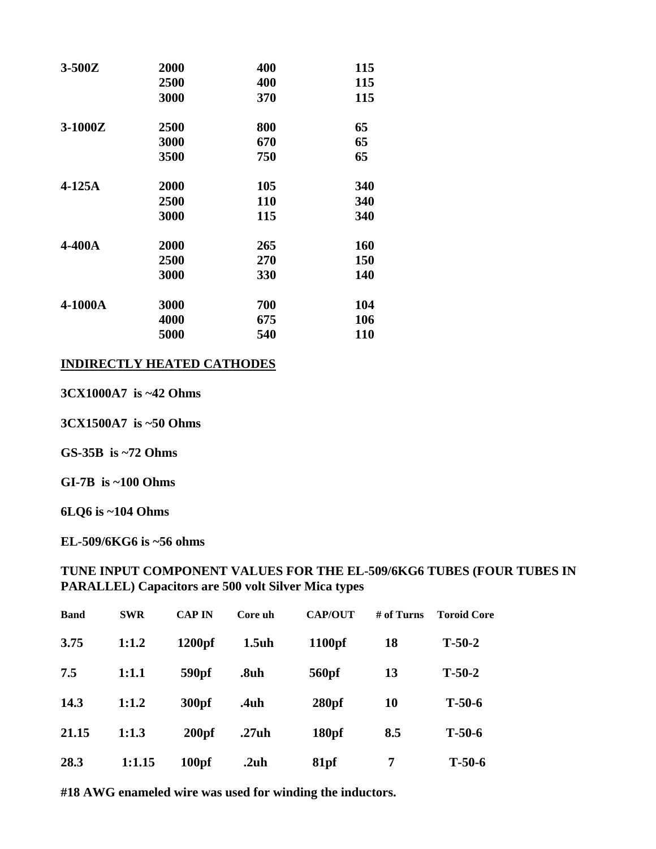| $3-500Z$ | 2000 | 400        | 115        |
|----------|------|------------|------------|
|          | 2500 | 400        | 115        |
|          | 3000 | 370        | 115        |
| 3-1000Z  | 2500 | 800        | 65         |
|          | 3000 | 670        | 65         |
|          | 3500 | 750        | 65         |
| $4-125A$ | 2000 | 105        | 340        |
|          | 2500 | <b>110</b> | 340        |
|          | 3000 | 115        | 340        |
| 4-400A   | 2000 | 265        | 160        |
|          | 2500 | 270        | 150        |
|          | 3000 | 330        | 140        |
| 4-1000A  | 3000 | 700        | 104        |
|          | 4000 | 675        | 106        |
|          | 5000 | 540        | <b>110</b> |

#### **INDIRECTLY HEATED CATHODES**

3CX1000A7 is ~42 Ohms

3CX1500A7 is ~50 Ohms

GS-35B is  $\sim$ 72 Ohms

GI-7B is  $\sim$ 100 Ohms

6LQ6 is ~104 Ohms

EL-509/6KG6 is ~56 ohms

#### TUNE INPUT COMPONENT VALUES FOR THE EL-509/6KG6 TUBES (FOUR TUBES IN **PARALLEL**) Capacitors are 500 volt Silver Mica types

| <b>Band</b> | <b>SWR</b> | <b>CAP IN</b>     | Core uh | <b>CAP/OUT</b>    | # of Turns | <b>Toroid Core</b> |
|-------------|------------|-------------------|---------|-------------------|------------|--------------------|
| 3.75        | 1:1.2      | $1200$ pf         | 1.5uh   | 1100pf            | 18         | $T-50-2$           |
| 7.5         | 1:1.1      | 590 <sub>pf</sub> | .8uh    | 560pf             | 13         | $T-50-2$           |
| 14.3        | 1:1.2      | 300pf             | .4uh    | 280 <sub>pf</sub> | 10         | $T-50-6$           |
| 21.15       | 1:1.3      | 200 <sub>pf</sub> | .27uh   | 180 <sub>pf</sub> | 8.5        | $T-50-6$           |
| 28.3        | 1:1.15     | 100 <sub>pf</sub> | .2uh    | 81pf              | 7          | $T-50-6$           |

#18 AWG enameled wire was used for winding the inductors.